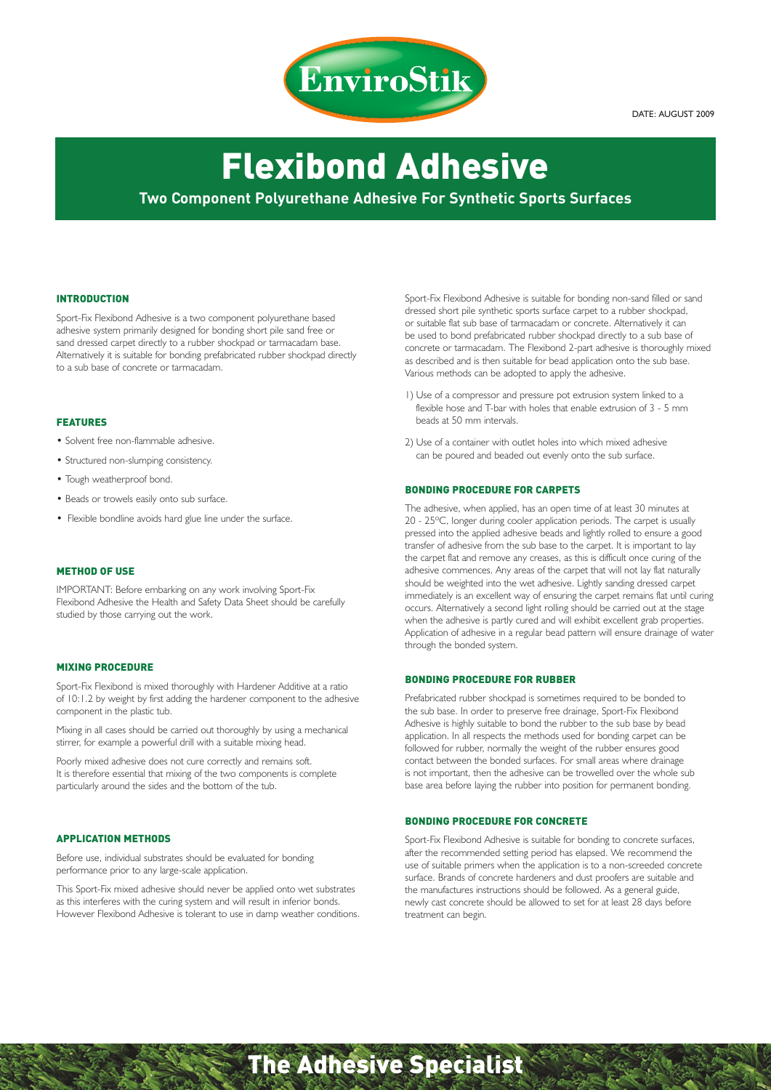

DATE: AUGUST 2009

# Flexibond Adhesive **Two Component Polyurethane Adhesive For Synthetic Sports Surfaces**

#### INTRODUCTION

Sport-Fix Flexibond Adhesive is a two component polyurethane based adhesive system primarily designed for bonding short pile sand free or sand dressed carpet directly to a rubber shockpad or tarmacadam base. Alternatively it is suitable for bonding prefabricated rubber shockpad directly to a sub base of concrete or tarmacadam.

# FEATURES

- Solvent free non-flammable adhesive.
- Structured non-slumping consistency.
- Tough weatherproof bond.
- Beads or trowels easily onto sub surface.
- Flexible bondline avoids hard glue line under the surface.

# METHOD OF USE

IMPORTANT: Before embarking on any work involving Sport-Fix Flexibond Adhesive the Health and Safety Data Sheet should be carefully studied by those carrying out the work.

#### MIXING PROCEDURE

Sport-Fix Flexibond is mixed thoroughly with Hardener Additive at a ratio of 10:1.2 by weight by first adding the hardener component to the adhesive component in the plastic tub.

Mixing in all cases should be carried out thoroughly by using a mechanical stirrer, for example a powerful drill with a suitable mixing head.

Poorly mixed adhesive does not cure correctly and remains soft. It is therefore essential that mixing of the two components is complete particularly around the sides and the bottom of the tub.

# APPLICATION METHODS

Before use, individual substrates should be evaluated for bonding performance prior to any large-scale application.

This Sport-Fix mixed adhesive should never be applied onto wet substrates as this interferes with the curing system and will result in inferior bonds. However Flexibond Adhesive is tolerant to use in damp weather conditions.

Sport-Fix Flexibond Adhesive is suitable for bonding non-sand filled or sand dressed short pile synthetic sports surface carpet to a rubber shockpad, or suitable flat sub base of tarmacadam or concrete. Alternatively it can be used to bond prefabricated rubber shockpad directly to a sub base of concrete or tarmacadam. The Flexibond 2-part adhesive is thoroughly mixed as described and is then suitable for bead application onto the sub base. Various methods can be adopted to apply the adhesive.

- 1) Use of a compressor and pressure pot extrusion system linked to a flexible hose and T-bar with holes that enable extrusion of 3 - 5 mm beads at 50 mm intervals.
- 2) Use of a container with outlet holes into which mixed adhesive can be poured and beaded out evenly onto the sub surface.

#### BONDING PROCEDURE FOR CARPETS

The adhesive, when applied, has an open time of at least 30 minutes at 20 - 25ºC, longer during cooler application periods. The carpet is usually pressed into the applied adhesive beads and lightly rolled to ensure a good transfer of adhesive from the sub base to the carpet. It is important to lay the carpet flat and remove any creases, as this is difficult once curing of the adhesive commences. Any areas of the carpet that will not lay flat naturally should be weighted into the wet adhesive. Lightly sanding dressed carpet immediately is an excellent way of ensuring the carpet remains flat until curing occurs. Alternatively a second light rolling should be carried out at the stage when the adhesive is partly cured and will exhibit excellent grab properties. Application of adhesive in a regular bead pattern will ensure drainage of water through the bonded system.

#### BONDING PROCEDURE FOR RUBBER

Prefabricated rubber shockpad is sometimes required to be bonded to the sub base. In order to preserve free drainage, Sport-Fix Flexibond Adhesive is highly suitable to bond the rubber to the sub base by bead application. In all respects the methods used for bonding carpet can be followed for rubber, normally the weight of the rubber ensures good contact between the bonded surfaces. For small areas where drainage is not important, then the adhesive can be trowelled over the whole sub base area before laying the rubber into position for permanent bonding.

#### BONDING PROCEDURE FOR CONCRETE

Sport-Fix Flexibond Adhesive is suitable for bonding to concrete surfaces, after the recommended setting period has elapsed. We recommend the use of suitable primers when the application is to a non-screeded concrete surface. Brands of concrete hardeners and dust proofers are suitable and the manufactures instructions should be followed. As a general guide, newly cast concrete should be allowed to set for at least 28 days before treatment can begin.

# The Adhesive Specialist